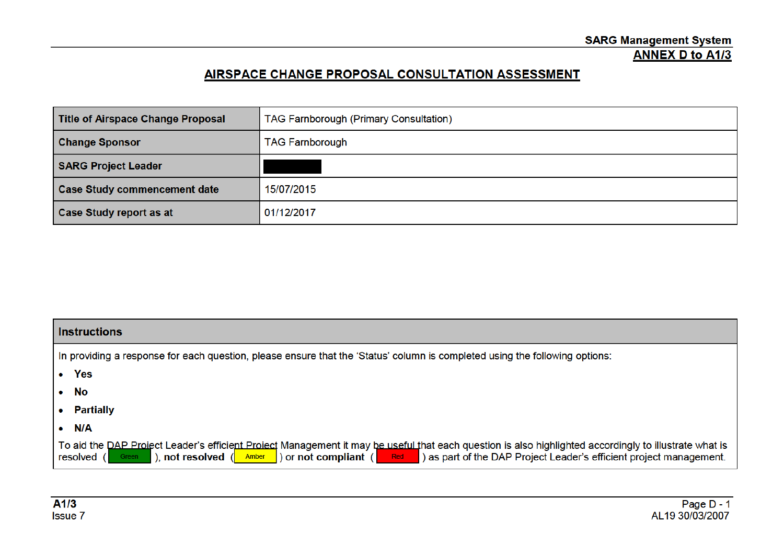## AIRSPACE CHANGE PROPOSAL CONSULTATION ASSESSMENT

| <b>Title of Airspace Change Proposal</b> | <b>TAG Farnborough (Primary Consultation)</b> |
|------------------------------------------|-----------------------------------------------|
| <b>Change Sponsor</b>                    | <b>TAG Farnborough</b>                        |
| <b>SARG Project Leader</b>               |                                               |
| <b>Case Study commencement date</b>      | 15/07/2015                                    |
| <b>Case Study report as at</b>           | 01/12/2017                                    |

| <b>Instructions</b>                                                                                                                                                                                                                                                                                                                               |  |  |
|---------------------------------------------------------------------------------------------------------------------------------------------------------------------------------------------------------------------------------------------------------------------------------------------------------------------------------------------------|--|--|
| In providing a response for each question, please ensure that the 'Status' column is completed using the following options:                                                                                                                                                                                                                       |  |  |
| • Yes                                                                                                                                                                                                                                                                                                                                             |  |  |
| $\bullet$ No                                                                                                                                                                                                                                                                                                                                      |  |  |
| • Partially                                                                                                                                                                                                                                                                                                                                       |  |  |
| N/A<br>$\bullet$                                                                                                                                                                                                                                                                                                                                  |  |  |
| To aid the DAP Project Leader's efficient Project Management it may be useful that each question is also highlighted accordingly to illustrate what is<br>as part of the DAP Project Leader's efficient project management.<br>), not resolved $(\blacksquare$ Amber $\blacksquare$ ) or not compliant $(\blacksquare$ Red<br>resolved (<br>Green |  |  |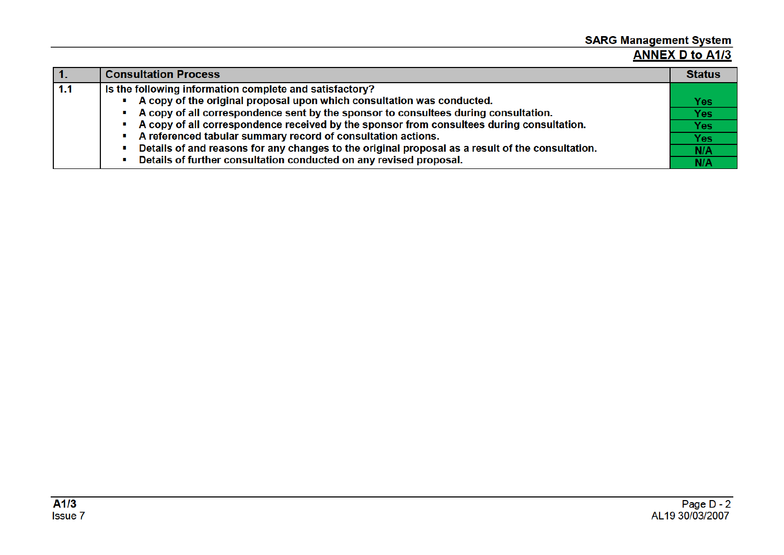# SARG Management System<br>ANNEX D to A1/3

| $\mathbf{1}$ | <b>Consultation Process</b>                                                                      | <b>Status</b> |
|--------------|--------------------------------------------------------------------------------------------------|---------------|
| 1.1          | Is the following information complete and satisfactory?                                          |               |
|              | A copy of the original proposal upon which consultation was conducted.                           | <b>Yes</b>    |
|              | A copy of all correspondence sent by the sponsor to consultees during consultation.              | <b>Yes</b>    |
|              | A copy of all correspondence received by the sponsor from consultees during consultation.        | <b>Yes</b>    |
|              | A referenced tabular summary record of consultation actions.                                     | Yes           |
|              | Details of and reasons for any changes to the original proposal as a result of the consultation. | N/A           |
|              | Details of further consultation conducted on any revised proposal.                               | N/A           |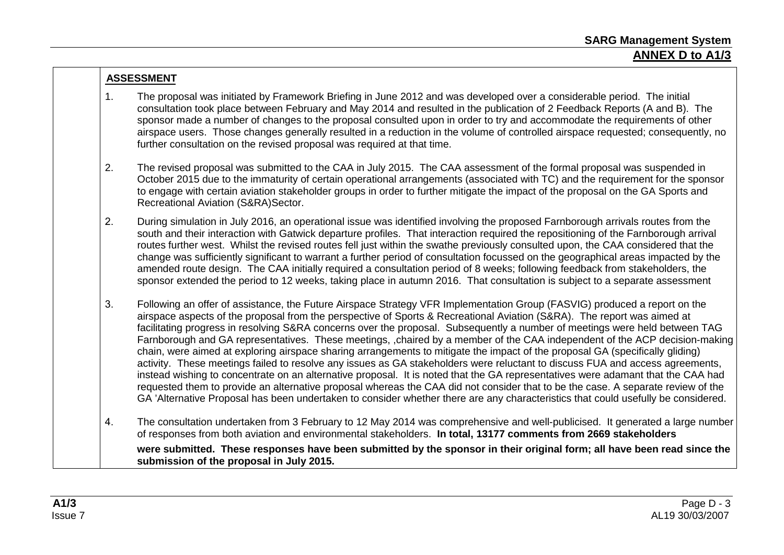### **ASSESSMENT**

- 1. The proposal was initiated by Framework Briefing in June 2012 and was developed over a considerable period. The initial consultation took place between February and May 2014 and resulted in the publication of 2 Feedback Reports (A and B). The sponsor made a number of changes to the proposal consulted upon in order to try and accommodate the requirements of other airspace users. Those changes generally resulted in a reduction in the volume of controlled airspace requested; consequently, no further consultation on the revised proposal was required at that time.
- 2. The revised proposal was submitted to the CAA in July 2015. The CAA assessment of the formal proposal was suspended in October 2015 due to the immaturity of certain operational arrangements (associated with TC) and the requirement for the sponsor to engage with certain aviation stakeholder groups in order to further mitigate the impact of the proposal on the GA Sports and Recreational Aviation (S&RA)Sector.
- 2. During simulation in July 2016, an operational issue was identified involving the proposed Farnborough arrivals routes from the south and their interaction with Gatwick departure profiles. That interaction required the repositioning of the Farnborough arrival routes further west. Whilst the revised routes fell just within the swathe previously consulted upon, the CAA considered that the change was sufficiently significant to warrant a further period of consultation focussed on the geographical areas impacted by the amended route design. The CAA initially required a consultation period of 8 weeks; following feedback from stakeholders, the sponsor extended the period to 12 weeks, taking place in autumn 2016. That consultation is subject to a separate assessment
- 3. Following an offer of assistance, the Future Airspace Strategy VFR Implementation Group (FASVIG) produced a report on the airspace aspects of the proposal from the perspective of Sports & Recreational Aviation (S&RA). The report was aimed at facilitating progress in resolving S&RA concerns over the proposal. Subsequently a number of meetings were held between TAG Farnborough and GA representatives. These meetings, ,chaired by a member of the CAA independent of the ACP decision-making chain, were aimed at exploring airspace sharing arrangements to mitigate the impact of the proposal GA (specifically gliding) activity. These meetings failed to resolve any issues as GA stakeholders were reluctant to discuss FUA and access agreements, instead wishing to concentrate on an alternative proposal. It is noted that the GA representatives were adamant that the CAA had requested them to provide an alternative proposal whereas the CAA did not consider that to be the case. A separate review of the GA 'Alternative Proposal has been undertaken to consider whether there are any characteristics that could usefully be considered.
- 4. The consultation undertaken from 3 February to 12 May 2014 was comprehensive and well-publicised. It generated a large number of responses from both aviation and environmental stakeholders. **In total, 13177 comments from 2669 stakeholders were submitted. These responses have been submitted by the sponsor in their original form; all have been read since the submission of the proposal in July 2015.**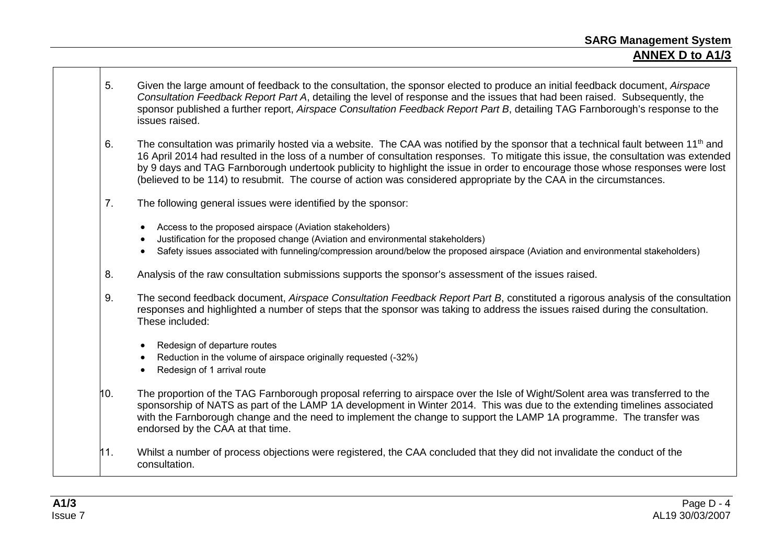- **ANNEX D to A1/3**
- 5. Given the large amount of feedback to the consultation, the sponsor elected to produce an initial feedback document, *Airspace Consultation Feedback Report Part A*, detailing the level of response and the issues that had been raised. Subsequently, the sponsor published a further report, *Airspace Consultation Feedback Report Part B*, detailing TAG Farnborough's response to the issues raised.
- 6. The consultation was primarily hosted via a website. The CAA was notified by the sponsor that a technical fault between 11<sup>th</sup> and 16 April 2014 had resulted in the loss of a number of consultation responses. To mitigate this issue, the consultation was extended by 9 days and TAG Farnborough undertook publicity to highlight the issue in order to encourage those whose responses were lost (believed to be 114) to resubmit. The course of action was considered appropriate by the CAA in the circumstances.
- 7. The following general issues were identified by the sponsor:
	- Access to the proposed airspace (Aviation stakeholders)
	- Justification for the proposed change (Aviation and environmental stakeholders)
	- Safety issues associated with funneling/compression around/below the proposed airspace (Aviation and environmental stakeholders)
- 8. Analysis of the raw consultation submissions supports the sponsor's assessment of the issues raised.
- 9. The second feedback document, *Airspace Consultation Feedback Report Part B*, constituted a rigorous analysis of the consultation responses and highlighted a number of steps that the sponsor was taking to address the issues raised during the consultation. These included:
	- Redesign of departure routes
	- Reduction in the volume of airspace originally requested (-32%)
	- Redesign of 1 arrival route
- 10. The proportion of the TAG Farnborough proposal referring to airspace over the Isle of Wight/Solent area was transferred to the sponsorship of NATS as part of the LAMP 1A development in Winter 2014. This was due to the extending timelines associated with the Farnborough change and the need to implement the change to support the LAMP 1A programme. The transfer was endorsed by the CAA at that time.
- 11. Whilst a number of process objections were registered, the CAA concluded that they did not invalidate the conduct of the consultation.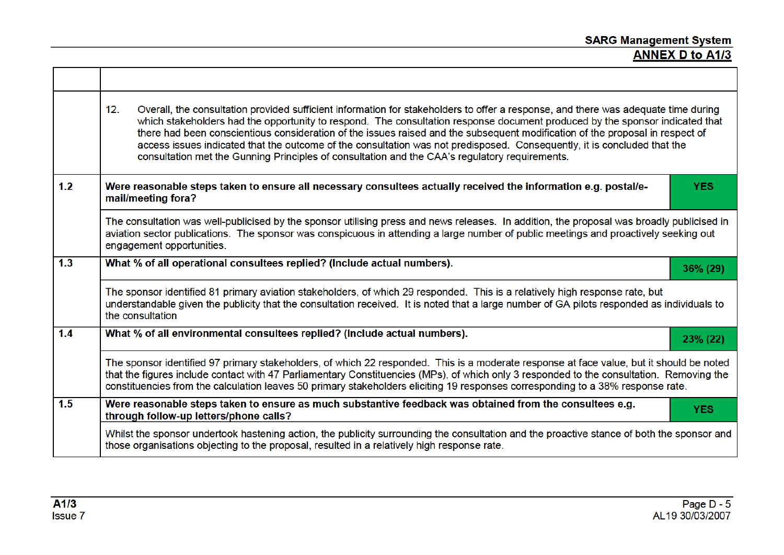# SARG Management System<br>ANNEX D to A1/3

|     | 12.<br>Overall, the consultation provided sufficient information for stakeholders to offer a response, and there was adequate time during<br>which stakeholders had the opportunity to respond. The consultation response document produced by the sponsor indicated that<br>there had been conscientious consideration of the issues raised and the subsequent modification of the proposal in respect of<br>access issues indicated that the outcome of the consultation was not predisposed. Consequently, it is concluded that the<br>consultation met the Gunning Principles of consultation and the CAA's regulatory requirements. |  |  |
|-----|------------------------------------------------------------------------------------------------------------------------------------------------------------------------------------------------------------------------------------------------------------------------------------------------------------------------------------------------------------------------------------------------------------------------------------------------------------------------------------------------------------------------------------------------------------------------------------------------------------------------------------------|--|--|
| 1.2 | Were reasonable steps taken to ensure all necessary consultees actually received the information e.g. postal/e-<br><b>YES</b><br>mail/meeting fora?                                                                                                                                                                                                                                                                                                                                                                                                                                                                                      |  |  |
|     | The consultation was well-publicised by the sponsor utilising press and news releases. In addition, the proposal was broadly publicised in<br>aviation sector publications. The sponsor was conspicuous in attending a large number of public meetings and proactively seeking out<br>engagement opportunities.                                                                                                                                                                                                                                                                                                                          |  |  |
| 1.3 | What % of all operational consultees replied? (Include actual numbers).<br>36% (29)                                                                                                                                                                                                                                                                                                                                                                                                                                                                                                                                                      |  |  |
|     | The sponsor identified 81 primary aviation stakeholders, of which 29 responded. This is a relatively high response rate, but<br>understandable given the publicity that the consultation received. It is noted that a large number of GA pilots responded as individuals to<br>the consultation                                                                                                                                                                                                                                                                                                                                          |  |  |
| 1.4 | What % of all environmental consultees replied? (Include actual numbers).<br>23% (22)                                                                                                                                                                                                                                                                                                                                                                                                                                                                                                                                                    |  |  |
|     | The sponsor identified 97 primary stakeholders, of which 22 responded. This is a moderate response at face value, but it should be noted<br>that the figures include contact with 47 Parliamentary Constituencies (MPs), of which only 3 responded to the consultation. Removing the<br>constituencies from the calculation leaves 50 primary stakeholders eliciting 19 responses corresponding to a 38% response rate.                                                                                                                                                                                                                  |  |  |
| 1.5 | Were reasonable steps taken to ensure as much substantive feedback was obtained from the consultees e.g.<br><b>YES</b><br>through follow-up letters/phone calls?                                                                                                                                                                                                                                                                                                                                                                                                                                                                         |  |  |
|     | Whilst the sponsor undertook hastening action, the publicity surrounding the consultation and the proactive stance of both the sponsor and<br>those organisations objecting to the proposal, resulted in a relatively high response rate.                                                                                                                                                                                                                                                                                                                                                                                                |  |  |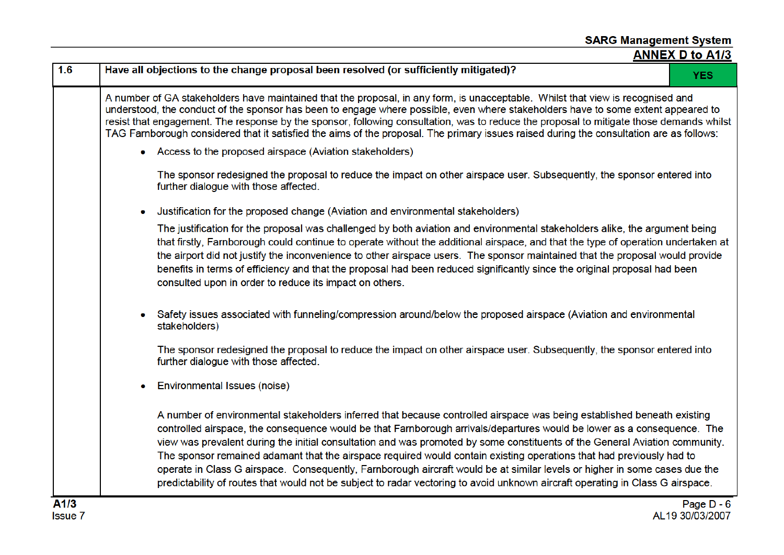| 1.6    | Have all objections to the change proposal been resolved (or sufficiently mitigated)?<br><b>YES</b>                                                                                                                                                                                                                                                                                                                                                                                                                                                                                                                                                                                                                                                                       |
|--------|---------------------------------------------------------------------------------------------------------------------------------------------------------------------------------------------------------------------------------------------------------------------------------------------------------------------------------------------------------------------------------------------------------------------------------------------------------------------------------------------------------------------------------------------------------------------------------------------------------------------------------------------------------------------------------------------------------------------------------------------------------------------------|
|        | A number of GA stakeholders have maintained that the proposal, in any form, is unacceptable. Whilst that view is recognised and<br>understood, the conduct of the sponsor has been to engage where possible, even where stakeholders have to some extent appeared to<br>resist that engagement. The response by the sponsor, following consultation, was to reduce the proposal to mitigate those demands whilst<br>TAG Farnborough considered that it satisfied the aims of the proposal. The primary issues raised during the consultation are as follows:                                                                                                                                                                                                              |
|        | • Access to the proposed airspace (Aviation stakeholders)                                                                                                                                                                                                                                                                                                                                                                                                                                                                                                                                                                                                                                                                                                                 |
|        | The sponsor redesigned the proposal to reduce the impact on other airspace user. Subsequently, the sponsor entered into<br>further dialogue with those affected.                                                                                                                                                                                                                                                                                                                                                                                                                                                                                                                                                                                                          |
|        | Justification for the proposed change (Aviation and environmental stakeholders)                                                                                                                                                                                                                                                                                                                                                                                                                                                                                                                                                                                                                                                                                           |
|        | The justification for the proposal was challenged by both aviation and environmental stakeholders alike, the argument being<br>that firstly, Farnborough could continue to operate without the additional airspace, and that the type of operation undertaken at<br>the airport did not justify the inconvenience to other airspace users. The sponsor maintained that the proposal would provide<br>benefits in terms of efficiency and that the proposal had been reduced significantly since the original proposal had been<br>consulted upon in order to reduce its impact on others.                                                                                                                                                                                 |
|        | Safety issues associated with funneling/compression around/below the proposed airspace (Aviation and environmental<br>stakeholders)                                                                                                                                                                                                                                                                                                                                                                                                                                                                                                                                                                                                                                       |
|        | The sponsor redesigned the proposal to reduce the impact on other airspace user. Subsequently, the sponsor entered into<br>further dialogue with those affected.                                                                                                                                                                                                                                                                                                                                                                                                                                                                                                                                                                                                          |
|        | Environmental Issues (noise)                                                                                                                                                                                                                                                                                                                                                                                                                                                                                                                                                                                                                                                                                                                                              |
|        | A number of environmental stakeholders inferred that because controlled airspace was being established beneath existing<br>controlled airspace, the consequence would be that Farnborough arrivals/departures would be lower as a consequence. The<br>view was prevalent during the initial consultation and was promoted by some constituents of the General Aviation community.<br>The sponsor remained adamant that the airspace required would contain existing operations that had previously had to<br>operate in Class G airspace. Consequently, Farnborough aircraft would be at similar levels or higher in some cases due the<br>predictability of routes that would not be subject to radar vectoring to avoid unknown aircraft operating in Class G airspace. |
| 8.4 IQ | <b>D.J.D.A</b>                                                                                                                                                                                                                                                                                                                                                                                                                                                                                                                                                                                                                                                                                                                                                            |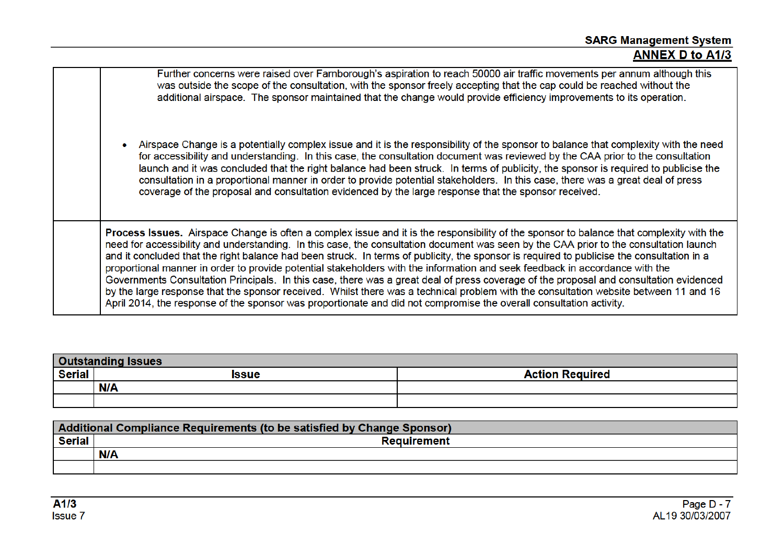| Further concerns were raised over Farnborough's aspiration to reach 50000 air traffic movements per annum although this<br>was outside the scope of the consultation, with the sponsor freely accepting that the cap could be reached without the<br>additional airspace. The sponsor maintained that the change would provide efficiency improvements to its operation.                                                                                                                                                                                                                                                                                                                                                                                                                                                                                                                                                                                                          |
|-----------------------------------------------------------------------------------------------------------------------------------------------------------------------------------------------------------------------------------------------------------------------------------------------------------------------------------------------------------------------------------------------------------------------------------------------------------------------------------------------------------------------------------------------------------------------------------------------------------------------------------------------------------------------------------------------------------------------------------------------------------------------------------------------------------------------------------------------------------------------------------------------------------------------------------------------------------------------------------|
| Airspace Change is a potentially complex issue and it is the responsibility of the sponsor to balance that complexity with the need<br>for accessibility and understanding. In this case, the consultation document was reviewed by the CAA prior to the consultation<br>launch and it was concluded that the right balance had been struck. In terms of publicity, the sponsor is required to publicise the<br>consultation in a proportional manner in order to provide potential stakeholders. In this case, there was a great deal of press<br>coverage of the proposal and consultation evidenced by the large response that the sponsor received.                                                                                                                                                                                                                                                                                                                           |
| <b>Process Issues.</b> Airspace Change is often a complex issue and it is the responsibility of the sponsor to balance that complexity with the<br>need for accessibility and understanding. In this case, the consultation document was seen by the CAA prior to the consultation launch<br>and it concluded that the right balance had been struck. In terms of publicity, the sponsor is required to publicise the consultation in a<br>proportional manner in order to provide potential stakeholders with the information and seek feedback in accordance with the<br>Governments Consultation Principals. In this case, there was a great deal of press coverage of the proposal and consultation evidenced<br>by the large response that the sponsor received. Whilst there was a technical problem with the consultation website between 11 and 16<br>April 2014, the response of the sponsor was proportionate and did not compromise the overall consultation activity. |

| <b>Outstanding Issues</b> |            |                        |
|---------------------------|------------|------------------------|
| Serial                    | Issue      | <b>Action Required</b> |
|                           | <b>N/A</b> |                        |
|                           |            |                        |

| Additional Compliance Requirements (to be satisfied by Change Sponsor) |                    |  |  |  |
|------------------------------------------------------------------------|--------------------|--|--|--|
| <b>Serial</b>                                                          | <b>Requirement</b> |  |  |  |
|                                                                        | <b>N/A</b>         |  |  |  |
|                                                                        |                    |  |  |  |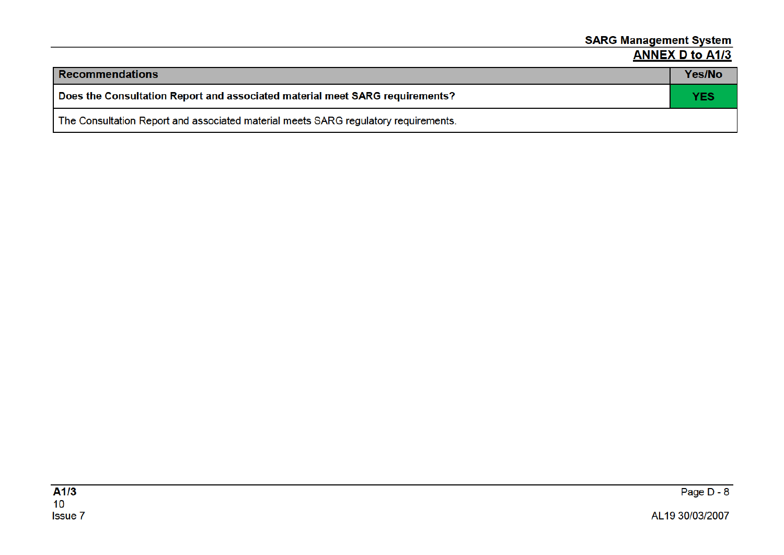| <b>Recommendations</b>                                                              | Yes/No     |
|-------------------------------------------------------------------------------------|------------|
| Does the Consultation Report and associated material meet SARG requirements?        | <b>YES</b> |
| The Consultation Report and associated material meets SARG regulatory requirements. |            |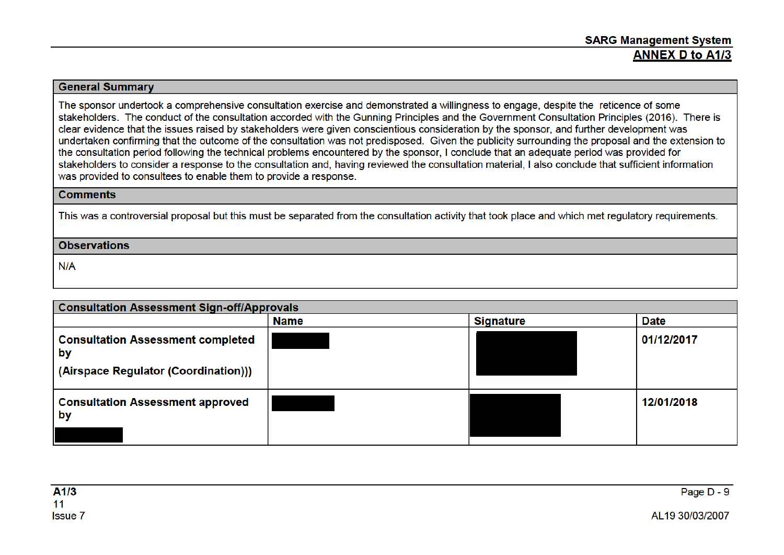### **General Summary**

The sponsor undertook a comprehensive consultation exercise and demonstrated a willingness to engage, despite the reticence of some stakeholders. The conduct of the consultation accorded with the Gunning Principles and the Government Consultation Principles (2016). There is clear evidence that the issues raised by stakeholders were given conscientious consideration by the sponsor, and further development was undertaken confirming that the outcome of the consultation was not predisposed. Given the publicity surrounding the proposal and the extension to the consultation period following the technical problems encountered by the sponsor. I conclude that an adequate period was provided for stakeholders to consider a response to the consultation and, having reviewed the consultation material, I also conclude that sufficient information was provided to consultees to enable them to provide a response.

### **Comments**

This was a controversial proposal but this must be separated from the consultation activity that took place and which met regulatory requirements.

### **Observations**

 $N/A$ 

| <b>Consultation Assessment Sign-off/Approvals</b>                                      |             |                  |             |
|----------------------------------------------------------------------------------------|-------------|------------------|-------------|
|                                                                                        | <b>Name</b> | <b>Signature</b> | <b>Date</b> |
| <b>Consultation Assessment completed</b><br>by<br>(Airspace Regulator (Coordination))) |             |                  | 01/12/2017  |
| <b>Consultation Assessment approved</b><br>by                                          |             |                  | 12/01/2018  |